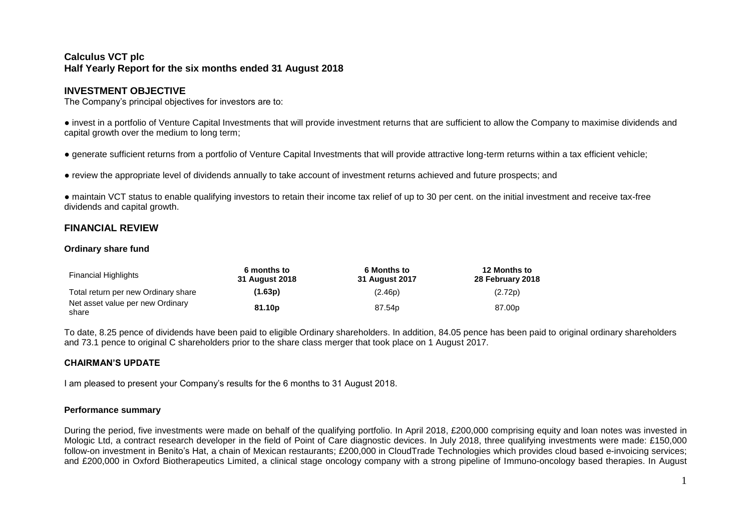# **Calculus VCT plc Half Yearly Report for the six months ended 31 August 2018**

# **INVESTMENT OBJECTIVE**

The Company's principal objectives for investors are to:

● invest in a portfolio of Venture Capital Investments that will provide investment returns that are sufficient to allow the Company to maximise dividends and capital growth over the medium to long term;

● generate sufficient returns from a portfolio of Venture Capital Investments that will provide attractive long-term returns within a tax efficient vehicle;

● review the appropriate level of dividends annually to take account of investment returns achieved and future prospects; and

● maintain VCT status to enable qualifying investors to retain their income tax relief of up to 30 per cent. on the initial investment and receive tax-free dividends and capital growth.

# **FINANCIAL REVIEW**

## **Ordinary share fund**

| <b>Financial Highlights</b>               | 6 months to<br>31 August 2018 | <b>6 Months to</b><br>31 August 2017 | <b>12 Months to</b><br>28 February 2018 |
|-------------------------------------------|-------------------------------|--------------------------------------|-----------------------------------------|
| Total return per new Ordinary share       | (1.63p)                       | (2.46p)                              | (2.72p)                                 |
| Net asset value per new Ordinary<br>share | 81.10 <sub>p</sub>            | 87.54 <sub>p</sub>                   | 87.00 <sub>p</sub>                      |

To date, 8.25 pence of dividends have been paid to eligible Ordinary shareholders. In addition, 84.05 pence has been paid to original ordinary shareholders and 73.1 pence to original C shareholders prior to the share class merger that took place on 1 August 2017.

# **CHAIRMAN'S UPDATE**

I am pleased to present your Company's results for the 6 months to 31 August 2018.

#### **Performance summary**

During the period, five investments were made on behalf of the qualifying portfolio. In April 2018, £200,000 comprising equity and loan notes was invested in Mologic Ltd, a contract research developer in the field of Point of Care diagnostic devices. In July 2018, three qualifying investments were made: £150,000 follow-on investment in Benito's Hat, a chain of Mexican restaurants; £200,000 in CloudTrade Technologies which provides cloud based e-invoicing services; and £200,000 in Oxford Biotherapeutics Limited, a clinical stage oncology company with a strong pipeline of Immuno-oncology based therapies. In August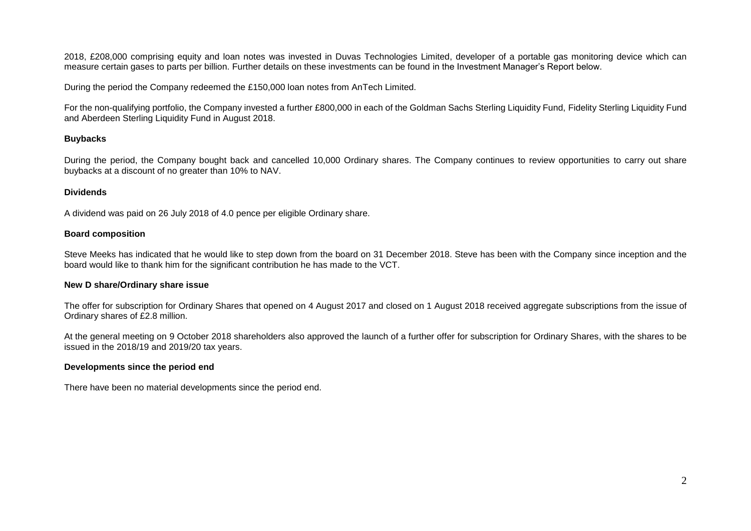2018, £208,000 comprising equity and loan notes was invested in Duvas Technologies Limited, developer of a portable gas monitoring device which can measure certain gases to parts per billion. Further details on these investments can be found in the Investment Manager's Report below.

During the period the Company redeemed the £150,000 loan notes from AnTech Limited.

For the non-qualifying portfolio, the Company invested a further £800,000 in each of the Goldman Sachs Sterling Liquidity Fund, Fidelity Sterling Liquidity Fund and Aberdeen Sterling Liquidity Fund in August 2018.

# **Buybacks**

During the period, the Company bought back and cancelled 10,000 Ordinary shares. The Company continues to review opportunities to carry out share buybacks at a discount of no greater than 10% to NAV.

# **Dividends**

A dividend was paid on 26 July 2018 of 4.0 pence per eligible Ordinary share.

## **Board composition**

Steve Meeks has indicated that he would like to step down from the board on 31 December 2018. Steve has been with the Company since inception and the board would like to thank him for the significant contribution he has made to the VCT.

# **New D share/Ordinary share issue**

The offer for subscription for Ordinary Shares that opened on 4 August 2017 and closed on 1 August 2018 received aggregate subscriptions from the issue of Ordinary shares of £2.8 million.

At the general meeting on 9 October 2018 shareholders also approved the launch of a further offer for subscription for Ordinary Shares, with the shares to be issued in the 2018/19 and 2019/20 tax years.

# **Developments since the period end**

There have been no material developments since the period end.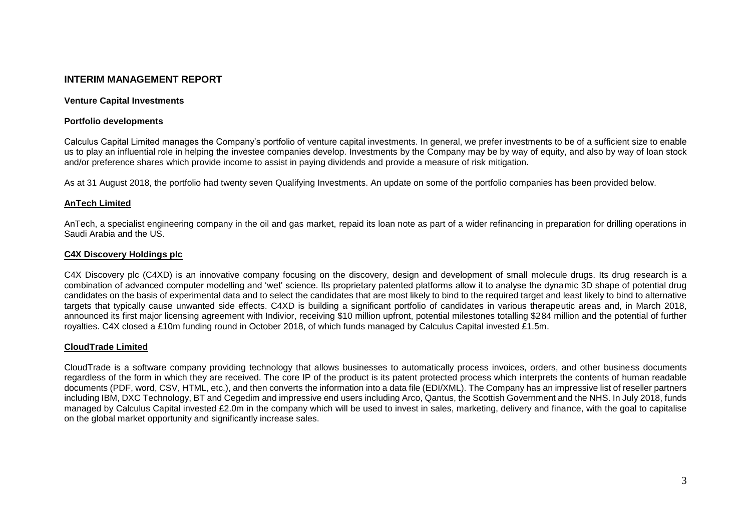# **INTERIM MANAGEMENT REPORT**

#### **Venture Capital Investments**

#### **Portfolio developments**

Calculus Capital Limited manages the Company's portfolio of venture capital investments. In general, we prefer investments to be of a sufficient size to enable us to play an influential role in helping the investee companies develop. Investments by the Company may be by way of equity, and also by way of loan stock and/or preference shares which provide income to assist in paying dividends and provide a measure of risk mitigation.

As at 31 August 2018, the portfolio had twenty seven Qualifying Investments. An update on some of the portfolio companies has been provided below.

#### **AnTech Limited**

AnTech, a specialist engineering company in the oil and gas market, repaid its loan note as part of a wider refinancing in preparation for drilling operations in Saudi Arabia and the US.

#### **C4X Discovery Holdings plc**

C4X Discovery plc (C4XD) is an innovative company focusing on the discovery, design and development of small molecule drugs. Its drug research is a combination of advanced computer modelling and 'wet' science. Its proprietary patented platforms allow it to analyse the dynamic 3D shape of potential drug candidates on the basis of experimental data and to select the candidates that are most likely to bind to the required target and least likely to bind to alternative targets that typically cause unwanted side effects. C4XD is building a significant portfolio of candidates in various therapeutic areas and, in March 2018, announced its first major licensing agreement with Indivior, receiving \$10 million upfront, potential milestones totalling \$284 million and the potential of further royalties. C4X closed a £10m funding round in October 2018, of which funds managed by Calculus Capital invested £1.5m.

#### **CloudTrade Limited**

CloudTrade is a software company providing technology that allows businesses to automatically process invoices, orders, and other business documents regardless of the form in which they are received. The core IP of the product is its patent protected process which interprets the contents of human readable documents (PDF, word, CSV, HTML, etc.), and then converts the information into a data file (EDI/XML). The Company has an impressive list of reseller partners including IBM, DXC Technology, BT and Cegedim and impressive end users including Arco, Qantus, the Scottish Government and the NHS. In July 2018, funds managed by Calculus Capital invested £2.0m in the company which will be used to invest in sales, marketing, delivery and finance, with the goal to capitalise on the global market opportunity and significantly increase sales.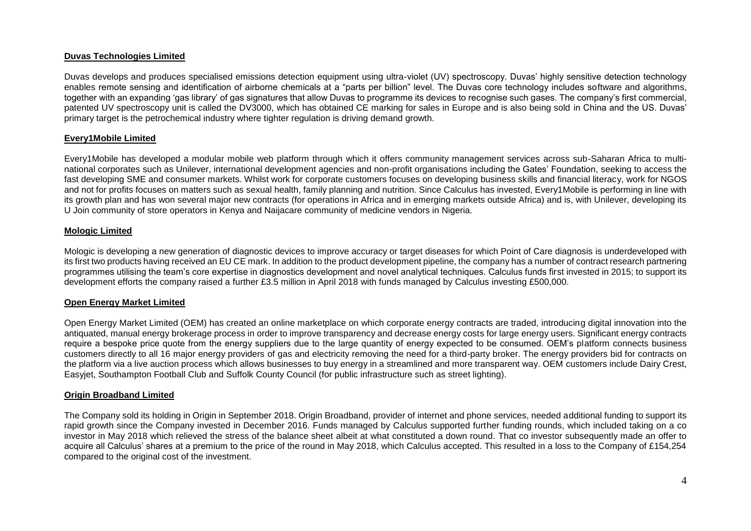## **Duvas Technologies Limited**

Duvas develops and produces specialised emissions detection equipment using ultra-violet (UV) spectroscopy. Duvas' highly sensitive detection technology enables remote sensing and identification of airborne chemicals at a "parts per billion" level. The Duvas core technology includes software and algorithms, together with an expanding 'gas library' of gas signatures that allow Duvas to programme its devices to recognise such gases. The company's first commercial, patented UV spectroscopy unit is called the DV3000, which has obtained CE marking for sales in Europe and is also being sold in China and the US. Duvas' primary target is the petrochemical industry where tighter regulation is driving demand growth.

## **Every1Mobile Limited**

Every1Mobile has developed a modular mobile web platform through which it offers community management services across sub-Saharan Africa to multinational corporates such as Unilever, international development agencies and non-profit organisations including the Gates' Foundation, seeking to access the fast developing SME and consumer markets. Whilst work for corporate customers focuses on developing business skills and financial literacy, work for NGOS and not for profits focuses on matters such as sexual health, family planning and nutrition. Since Calculus has invested, Every1Mobile is performing in line with its growth plan and has won several major new contracts (for operations in Africa and in emerging markets outside Africa) and is, with Unilever, developing its U Join community of store operators in Kenya and Naijacare community of medicine vendors in Nigeria.

#### **Mologic Limited**

Mologic is developing a new generation of diagnostic devices to improve accuracy or target diseases for which Point of Care diagnosis is underdeveloped with its first two products having received an EU CE mark. In addition to the product development pipeline, the company has a number of contract research partnering programmes utilising the team's core expertise in diagnostics development and novel analytical techniques. Calculus funds first invested in 2015; to support its development efforts the company raised a further £3.5 million in April 2018 with funds managed by Calculus investing £500,000.

#### **Open Energy Market Limited**

Open Energy Market Limited (OEM) has created an online marketplace on which corporate energy contracts are traded, introducing digital innovation into the antiquated, manual energy brokerage process in order to improve transparency and decrease energy costs for large energy users. Significant energy contracts require a bespoke price quote from the energy suppliers due to the large quantity of energy expected to be consumed. OEM's platform connects business customers directly to all 16 major energy providers of gas and electricity removing the need for a third-party broker. The energy providers bid for contracts on the platform via a live auction process which allows businesses to buy energy in a streamlined and more transparent way. OEM customers include Dairy Crest, Easyjet, Southampton Football Club and Suffolk County Council (for public infrastructure such as street lighting).

#### **Origin Broadband Limited**

The Company sold its holding in Origin in September 2018. Origin Broadband, provider of internet and phone services, needed additional funding to support its rapid growth since the Company invested in December 2016. Funds managed by Calculus supported further funding rounds, which included taking on a co investor in May 2018 which relieved the stress of the balance sheet albeit at what constituted a down round. That co investor subsequently made an offer to acquire all Calculus' shares at a premium to the price of the round in May 2018, which Calculus accepted. This resulted in a loss to the Company of £154,254 compared to the original cost of the investment.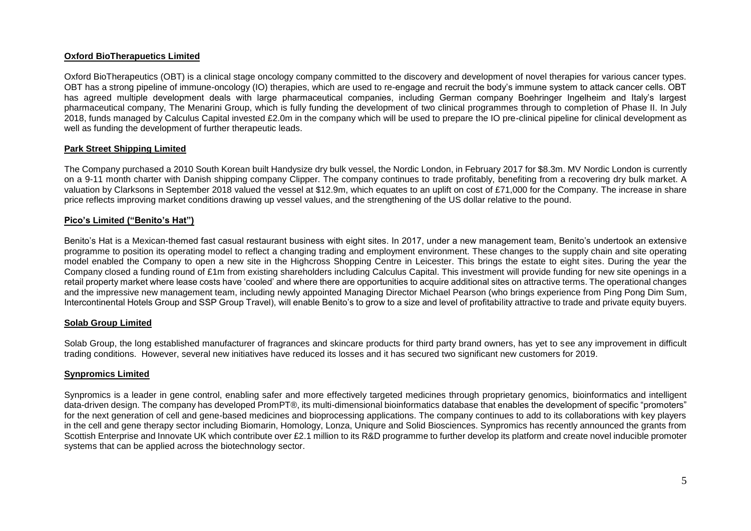## **Oxford BioTherapuetics Limited**

Oxford BioTherapeutics (OBT) is a clinical stage oncology company committed to the discovery and development of novel therapies for various cancer types. OBT has a strong pipeline of immune-oncology (IO) therapies, which are used to re-engage and recruit the body's immune system to attack cancer cells. OBT has agreed multiple development deals with large pharmaceutical companies, including German company Boehringer Ingelheim and Italy's largest pharmaceutical company, The Menarini Group, which is fully funding the development of two clinical programmes through to completion of Phase II. In July 2018, funds managed by Calculus Capital invested £2.0m in the company which will be used to prepare the IO pre-clinical pipeline for clinical development as well as funding the development of further therapeutic leads.

#### **Park Street Shipping Limited**

The Company purchased a 2010 South Korean built Handysize dry bulk vessel, the Nordic London, in February 2017 for \$8.3m. MV Nordic London is currently on a 9-11 month charter with Danish shipping company Clipper. The company continues to trade profitably, benefiting from a recovering dry bulk market. A valuation by Clarksons in September 2018 valued the vessel at \$12.9m, which equates to an uplift on cost of £71,000 for the Company. The increase in share price reflects improving market conditions drawing up vessel values, and the strengthening of the US dollar relative to the pound.

#### **Pico's Limited ("Benito's Hat")**

Benito's Hat is a Mexican-themed fast casual restaurant business with eight sites. In 2017, under a new management team, Benito's undertook an extensive programme to position its operating model to reflect a changing trading and employment environment. These changes to the supply chain and site operating model enabled the Company to open a new site in the Highcross Shopping Centre in Leicester. This brings the estate to eight sites. During the year the Company closed a funding round of £1m from existing shareholders including Calculus Capital. This investment will provide funding for new site openings in a retail property market where lease costs have 'cooled' and where there are opportunities to acquire additional sites on attractive terms. The operational changes and the impressive new management team, including newly appointed Managing Director Michael Pearson (who brings experience from Ping Pong Dim Sum, Intercontinental Hotels Group and SSP Group Travel), will enable Benito's to grow to a size and level of profitability attractive to trade and private equity buyers.

#### **Solab Group Limited**

Solab Group, the long established manufacturer of fragrances and skincare products for third party brand owners, has yet to see any improvement in difficult trading conditions. However, several new initiatives have reduced its losses and it has secured two significant new customers for 2019.

#### **Synpromics Limited**

Synpromics is a leader in gene control, enabling safer and more effectively targeted medicines through proprietary genomics, bioinformatics and intelligent data-driven design. The company has developed PromPT®, its multi-dimensional bioinformatics database that enables the development of specific "promoters" for the next generation of cell and gene-based medicines and bioprocessing applications. The company continues to add to its collaborations with key players in the cell and gene therapy sector including Biomarin, Homology, Lonza, Uniqure and Solid Biosciences. Synpromics has recently announced the grants from Scottish Enterprise and Innovate UK which contribute over £2.1 million to its R&D programme to further develop its platform and create novel inducible promoter systems that can be applied across the biotechnology sector.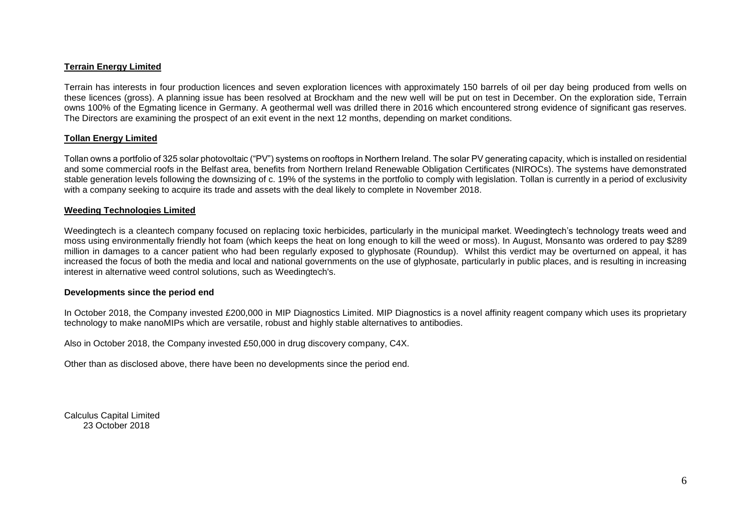## **Terrain Energy Limited**

Terrain has interests in four production licences and seven exploration licences with approximately 150 barrels of oil per day being produced from wells on these licences (gross). A planning issue has been resolved at Brockham and the new well will be put on test in December. On the exploration side, Terrain owns 100% of the Egmating licence in Germany. A geothermal well was drilled there in 2016 which encountered strong evidence of significant gas reserves. The Directors are examining the prospect of an exit event in the next 12 months, depending on market conditions.

#### **Tollan Energy Limited**

Tollan owns a portfolio of 325 solar photovoltaic ("PV") systems on rooftops in Northern Ireland. The solar PV generating capacity, which is installed on residential and some commercial roofs in the Belfast area, benefits from Northern Ireland Renewable Obligation Certificates (NIROCs). The systems have demonstrated stable generation levels following the downsizing of c. 19% of the systems in the portfolio to comply with legislation. Tollan is currently in a period of exclusivity with a company seeking to acquire its trade and assets with the deal likely to complete in November 2018.

#### **Weeding Technologies Limited**

Weedingtech is a cleantech company focused on replacing toxic herbicides, particularly in the municipal market. Weedingtech's technology treats weed and moss using environmentally friendly hot foam (which keeps the heat on long enough to kill the weed or moss). In August, Monsanto was ordered to pay \$289 million in damages to a cancer patient who had been regularly exposed to glyphosate (Roundup). Whilst this verdict may be overturned on appeal, it has increased the focus of both the media and local and national governments on the use of glyphosate, particularly in public places, and is resulting in increasing interest in alternative weed control solutions, such as Weedingtech's.

#### **Developments since the period end**

In October 2018, the Company invested £200,000 in MIP Diagnostics Limited. MIP Diagnostics is a novel affinity reagent company which uses its proprietary technology to make nanoMIPs which are versatile, robust and highly stable alternatives to antibodies.

Also in October 2018, the Company invested £50,000 in drug discovery company, C4X.

Other than as disclosed above, there have been no developments since the period end.

Calculus Capital Limited 23 October 2018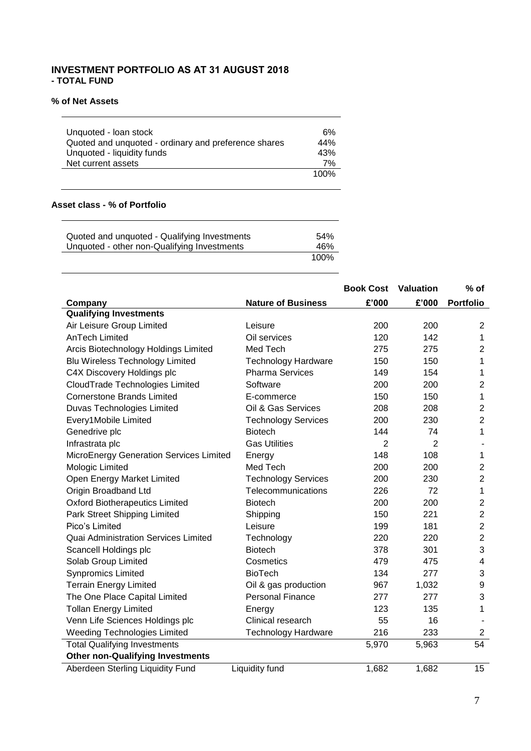# **INVESTMENT PORTFOLIO AS AT 31 AUGUST 2018 - TOTAL FUND**

## **% of Net Assets**

 $\sim$ 

| Unquoted - Ioan stock<br>Quoted and unquoted - ordinary and preference shares<br>Unquoted - liquidity funds | 6%<br>44%<br>43% |
|-------------------------------------------------------------------------------------------------------------|------------------|
| Net current assets                                                                                          | 7%               |
|                                                                                                             | 100%             |

# **Asset class - % of Portfolio**

| Quoted and unquoted - Qualifying Investments | 54%  |
|----------------------------------------------|------|
| Unquoted - other non-Qualifying Investments  | 46%  |
|                                              | 100% |

|                                         |                            | <b>Book Cost</b> | Valuation      | $%$ of                  |
|-----------------------------------------|----------------------------|------------------|----------------|-------------------------|
| Company                                 | <b>Nature of Business</b>  | £'000            | £'000          | <b>Portfolio</b>        |
| <b>Qualifying Investments</b>           |                            |                  |                |                         |
| Air Leisure Group Limited               | Leisure                    | 200              | 200            | $\overline{2}$          |
| <b>AnTech Limited</b>                   | Oil services               | 120              | 142            | 1                       |
| Arcis Biotechnology Holdings Limited    | Med Tech                   | 275              | 275            | $\overline{c}$          |
| <b>Blu Wireless Technology Limited</b>  | Technology Hardware        | 150              | 150            | 1                       |
| C4X Discovery Holdings plc              | <b>Pharma Services</b>     | 149              | 154            | 1                       |
| CloudTrade Technologies Limited         | Software                   | 200              | 200            | $\overline{c}$          |
| <b>Cornerstone Brands Limited</b>       | E-commerce                 | 150              | 150            | 1                       |
| Duvas Technologies Limited              | Oil & Gas Services         | 208              | 208            | $\overline{2}$          |
| Every1Mobile Limited                    | <b>Technology Services</b> | 200              | 230            | $\overline{c}$          |
| Genedrive plc                           | <b>Biotech</b>             | 144              | 74             | 1                       |
| Infrastrata plc                         | <b>Gas Utilities</b>       | $\overline{2}$   | $\overline{2}$ |                         |
| MicroEnergy Generation Services Limited | Energy                     | 148              | 108            | 1                       |
| Mologic Limited                         | Med Tech                   | 200              | 200            | $\overline{c}$          |
| Open Energy Market Limited              | <b>Technology Services</b> | 200              | 230            | $\overline{2}$          |
| Origin Broadband Ltd                    | Telecommunications         | 226              | 72             | $\mathbf 1$             |
| <b>Oxford Biotherapeutics Limited</b>   | <b>Biotech</b>             | 200              | 200            | $\overline{2}$          |
| Park Street Shipping Limited            | Shipping                   | 150              | 221            | $\overline{c}$          |
| Pico's Limited                          | Leisure                    | 199              | 181            | $\overline{c}$          |
| Quai Administration Services Limited    | Technology                 | 220              | 220            | $\overline{c}$          |
| Scancell Holdings plc                   | <b>Biotech</b>             | 378              | 301            | 3                       |
| Solab Group Limited                     | Cosmetics                  | 479              | 475            | $\overline{\mathbf{4}}$ |
| <b>Synpromics Limited</b>               | <b>BioTech</b>             | 134              | 277            | 3                       |
| <b>Terrain Energy Limited</b>           | Oil & gas production       | 967              | 1,032          | $\boldsymbol{9}$        |
| The One Place Capital Limited           | <b>Personal Finance</b>    | 277              | 277            | 3                       |
| <b>Tollan Energy Limited</b>            | Energy                     | 123              | 135            | 1                       |
| Venn Life Sciences Holdings plc         | Clinical research          | 55               | 16             |                         |
| <b>Weeding Technologies Limited</b>     | <b>Technology Hardware</b> | 216              | 233            | $\overline{c}$          |
| <b>Total Qualifying Investments</b>     |                            | 5,970            | 5,963          | 54                      |
| <b>Other non-Qualifying Investments</b> |                            |                  |                |                         |
| Aberdeen Sterling Liquidity Fund        | Liquidity fund             | 1,682            | 1,682          | 15                      |

٠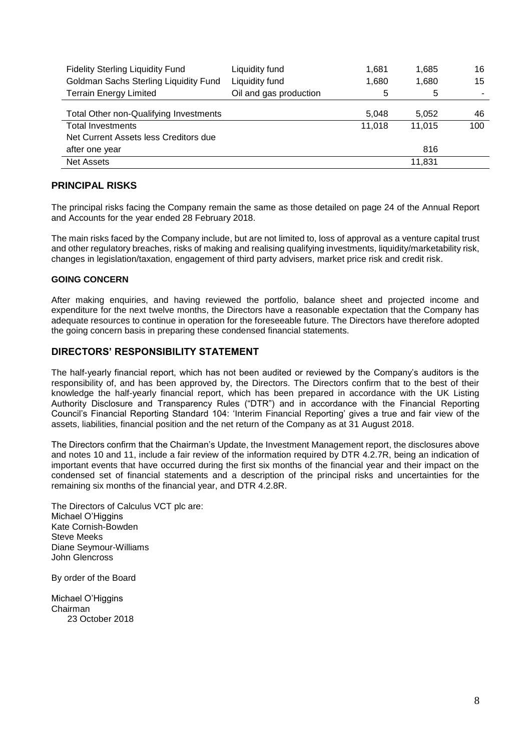| <b>Fidelity Sterling Liquidity Fund</b> | Liquidity fund         | 1.681  | 1,685  | 16  |
|-----------------------------------------|------------------------|--------|--------|-----|
| Goldman Sachs Sterling Liquidity Fund   | Liquidity fund         | 1,680  | 1,680  | 15  |
| <b>Terrain Energy Limited</b>           | Oil and gas production | 5      | 5      |     |
|                                         |                        |        |        |     |
| Total Other non-Qualifying Investments  |                        | 5.048  | 5,052  | 46  |
| <b>Total Investments</b>                |                        | 11,018 | 11,015 | 100 |
| Net Current Assets less Creditors due   |                        |        |        |     |
| after one year                          |                        |        | 816    |     |
| <b>Net Assets</b>                       |                        |        | 11,831 |     |

# **PRINCIPAL RISKS**

The principal risks facing the Company remain the same as those detailed on page 24 of the Annual Report and Accounts for the year ended 28 February 2018.

The main risks faced by the Company include, but are not limited to, loss of approval as a venture capital trust and other regulatory breaches, risks of making and realising qualifying investments, liquidity/marketability risk, changes in legislation/taxation, engagement of third party advisers, market price risk and credit risk.

## **GOING CONCERN**

After making enquiries, and having reviewed the portfolio, balance sheet and projected income and expenditure for the next twelve months, the Directors have a reasonable expectation that the Company has adequate resources to continue in operation for the foreseeable future. The Directors have therefore adopted the going concern basis in preparing these condensed financial statements.

# **DIRECTORS' RESPONSIBILITY STATEMENT**

The half-yearly financial report, which has not been audited or reviewed by the Company's auditors is the responsibility of, and has been approved by, the Directors. The Directors confirm that to the best of their knowledge the half-yearly financial report, which has been prepared in accordance with the UK Listing Authority Disclosure and Transparency Rules ("DTR") and in accordance with the Financial Reporting Council's Financial Reporting Standard 104: 'Interim Financial Reporting' gives a true and fair view of the assets, liabilities, financial position and the net return of the Company as at 31 August 2018.

The Directors confirm that the Chairman's Update, the Investment Management report, the disclosures above and notes 10 and 11, include a fair review of the information required by DTR 4.2.7R, being an indication of important events that have occurred during the first six months of the financial year and their impact on the condensed set of financial statements and a description of the principal risks and uncertainties for the remaining six months of the financial year, and DTR 4.2.8R.

The Directors of Calculus VCT plc are: Michael O'Higgins Kate Cornish-Bowden Steve Meeks Diane Seymour-Williams John Glencross

By order of the Board

Michael O'Higgins Chairman 23 October 2018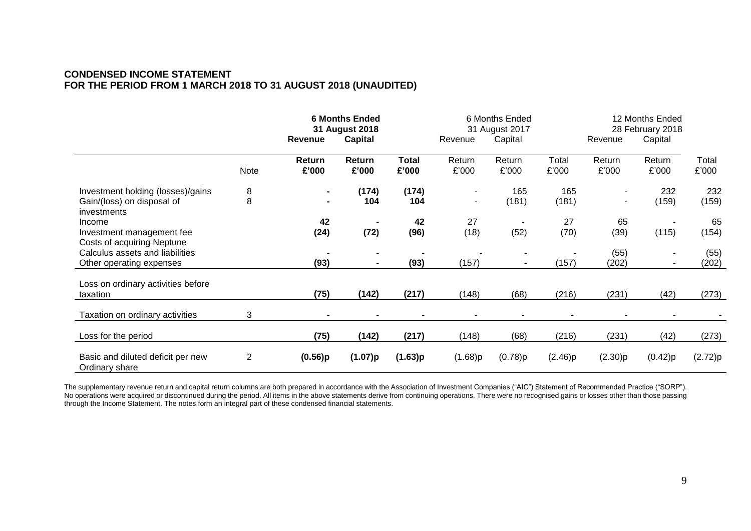# **CONDENSED INCOME STATEMENT FOR THE PERIOD FROM 1 MARCH 2018 TO 31 AUGUST 2018 (UNAUDITED)**

|                                                                                |                | Revenue                          |                 | <b>6 Months Ended</b><br>31 August 2018<br><b>Capital</b> |                 |                 | Revenue        | 6 Months Ended<br>31 August 2017<br>Capital |                 | 12 Months Ended<br>28 February 2018<br>Revenue |  |
|--------------------------------------------------------------------------------|----------------|----------------------------------|-----------------|-----------------------------------------------------------|-----------------|-----------------|----------------|---------------------------------------------|-----------------|------------------------------------------------|--|
|                                                                                | Note           | Return<br>£'000                  | Return<br>£'000 | <b>Total</b><br>£'000                                     | Return<br>£'000 | Return<br>£'000 | Total<br>£'000 | Return<br>£'000                             | Return<br>£'000 | Total<br>£'000                                 |  |
| Investment holding (losses)/gains<br>Gain/(loss) on disposal of<br>investments | 8<br>8         | $\blacksquare$<br>$\blacksquare$ | (174)<br>104    | (174)<br>104                                              | $\sim$          | 165<br>(181)    | 165<br>(181)   | ٠<br>$\blacksquare$                         | 232<br>(159)    | 232<br>(159)                                   |  |
| Income<br>Investment management fee<br>Costs of acquiring Neptune              |                | 42<br>(24)                       | (72)            | 42<br>(96)                                                | 27<br>(18)      | (52)            | 27<br>(70)     | 65<br>(39)                                  | (115)           | 65<br>(154)                                    |  |
| Calculus assets and liabilities<br>Other operating expenses                    |                | (93)                             |                 | (93)                                                      | (157)           |                 | (157)          | (55)<br>(202)                               |                 | (55)<br>(202)                                  |  |
| Loss on ordinary activities before<br>taxation                                 |                | (75)                             | (142)           | (217)                                                     | (148)           | (68)            | (216)          | (231)                                       | (42)            | (273)                                          |  |
| Taxation on ordinary activities                                                | 3              | $\blacksquare$                   |                 |                                                           |                 |                 |                |                                             |                 |                                                |  |
| Loss for the period                                                            |                | (75)                             | (142)           | (217)                                                     | (148)           | (68)            | (216)          | (231)                                       | (42)            | (273)                                          |  |
| Basic and diluted deficit per new<br>Ordinary share                            | $\overline{2}$ | (0.56)p                          | (1.07)p         | (1.63)p                                                   | (1.68)p         | (0.78)p         | (2.46)p        | (2.30)p                                     | (0.42)p         | (2.72)p                                        |  |

The supplementary revenue return and capital return columns are both prepared in accordance with the Association of Investment Companies ("AIC") Statement of Recommended Practice ("SORP"). No operations were acquired or discontinued during the period. All items in the above statements derive from continuing operations. There were no recognised gains or losses other than those passing through the Income Statement. The notes form an integral part of these condensed financial statements.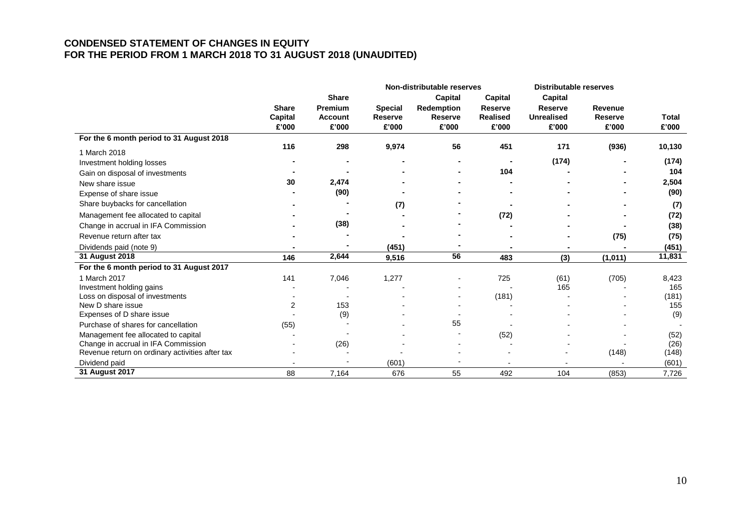# **CONDENSED STATEMENT OF CHANGES IN EQUITY FOR THE PERIOD FROM 1 MARCH 2018 TO 31 AUGUST 2018 (UNAUDITED)**

|                                                 |                |                |                | Non-distributable reserves |                 | <b>Distributable reserves</b> |                |              |
|-------------------------------------------------|----------------|----------------|----------------|----------------------------|-----------------|-------------------------------|----------------|--------------|
|                                                 |                | <b>Share</b>   |                | <b>Capital</b>             | Capital         | Capital                       |                |              |
|                                                 | <b>Share</b>   | <b>Premium</b> | <b>Special</b> | <b>Redemption</b>          | Reserve         | <b>Reserve</b>                | <b>Revenue</b> |              |
|                                                 | <b>Capital</b> | <b>Account</b> | <b>Reserve</b> | <b>Reserve</b>             | <b>Realised</b> | <b>Unrealised</b>             | <b>Reserve</b> | <b>Total</b> |
|                                                 | £'000          | £'000          | £'000          | £'000                      | £'000           | £'000                         | £'000          | £'000        |
| For the 6 month period to 31 August 2018        |                |                |                |                            |                 |                               |                |              |
| 1 March 2018                                    | 116            | 298            | 9,974          | 56                         | 451             | 171                           | (936)          | 10,130       |
| Investment holding losses                       |                |                |                |                            |                 | (174)                         |                | (174)        |
| Gain on disposal of investments                 |                |                |                |                            | 104             |                               |                | 104          |
| New share issue                                 | 30             | 2,474          |                |                            |                 |                               |                | 2,504        |
| Expense of share issue                          |                | (90)           |                |                            |                 |                               |                | (90)         |
| Share buybacks for cancellation                 |                |                | (7)            |                            |                 |                               |                | (7)          |
| Management fee allocated to capital             |                |                |                |                            | (72)            |                               |                | (72)         |
| Change in accrual in IFA Commission             |                | (38)           |                |                            |                 |                               |                | (38)         |
| Revenue return after tax                        |                |                |                |                            |                 |                               | (75)           | (75)         |
| Dividends paid (note 9)                         |                |                | (451)          |                            |                 |                               |                | (451)        |
| 31 August 2018                                  | 146            | 2,644          | 9,516          | 56                         | 483             | (3)                           | (1,011)        | 11,831       |
| For the 6 month period to 31 August 2017        |                |                |                |                            |                 |                               |                |              |
| 1 March 2017                                    | 141            | 7,046          | 1,277          |                            | 725             | (61)                          | (705)          | 8,423        |
| Investment holding gains                        |                |                |                |                            |                 | 165                           |                | 165          |
| Loss on disposal of investments                 |                |                |                |                            | (181)           |                               |                | (181)        |
| New D share issue                               | 2              | 153            |                |                            |                 |                               |                | 155          |
| Expenses of D share issue                       |                | (9)            |                |                            |                 |                               |                | (9)          |
| Purchase of shares for cancellation             | (55)           |                |                | 55                         |                 |                               |                |              |
| Management fee allocated to capital             |                |                |                |                            | (52)            |                               |                | (52)         |
| Change in accrual in IFA Commission             |                | (26)           |                |                            |                 |                               |                | (26)         |
| Revenue return on ordinary activities after tax |                |                |                |                            |                 |                               | (148)          | (148)        |
| Dividend paid                                   |                |                | (601)          |                            |                 |                               |                | (601)        |
| 31 August 2017                                  | 88             | 7,164          | 676            | 55                         | 492             | 104                           | (853)          | 7,726        |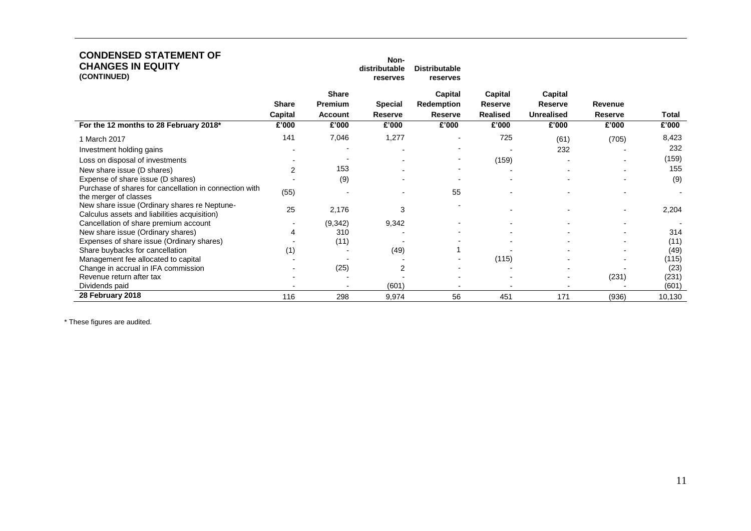| <b>CONDENSED STATEMENT OF</b><br><b>CHANGES IN EQUITY</b><br>(CONTINUED)                     |                         |                                           | Non-<br>distributable<br>reserves | <b>Distributable</b><br>reserves               |                                       |                                                |                           |              |
|----------------------------------------------------------------------------------------------|-------------------------|-------------------------------------------|-----------------------------------|------------------------------------------------|---------------------------------------|------------------------------------------------|---------------------------|--------------|
|                                                                                              | <b>Share</b><br>Capital | <b>Share</b><br>Premium<br><b>Account</b> | <b>Special</b><br><b>Reserve</b>  | Capital<br><b>Redemption</b><br><b>Reserve</b> | Capital<br>Reserve<br><b>Realised</b> | Capital<br><b>Reserve</b><br><b>Unrealised</b> | Revenue<br><b>Reserve</b> | <b>Total</b> |
| For the 12 months to 28 February 2018*                                                       | £'000                   | £'000                                     | £'000                             | £'000                                          | £'000                                 | £'000                                          | £'000                     | £'000        |
| 1 March 2017                                                                                 | 141                     | 7,046                                     | 1,277                             |                                                | 725                                   | (61)                                           | (705)                     | 8,423        |
| Investment holding gains                                                                     |                         |                                           |                                   |                                                |                                       | 232                                            |                           | 232          |
| Loss on disposal of investments                                                              |                         |                                           |                                   |                                                | (159)                                 |                                                |                           | (159)        |
| New share issue (D shares)                                                                   | 2                       | 153                                       |                                   |                                                |                                       |                                                |                           | 155          |
| Expense of share issue (D shares)                                                            |                         | (9)                                       |                                   |                                                |                                       |                                                |                           | (9)          |
| Purchase of shares for cancellation in connection with<br>the merger of classes              | (55)                    |                                           |                                   | 55                                             |                                       |                                                |                           |              |
| New share issue (Ordinary shares re Neptune-<br>Calculus assets and liabilities acquisition) | 25                      | 2,176                                     | 3                                 |                                                |                                       |                                                |                           | 2,204        |
| Cancellation of share premium account                                                        |                         | (9,342)                                   | 9,342                             |                                                |                                       |                                                |                           |              |
| New share issue (Ordinary shares)                                                            | 4                       | 310                                       |                                   |                                                |                                       |                                                |                           | 314          |
| Expenses of share issue (Ordinary shares)                                                    |                         | (11)                                      |                                   |                                                |                                       |                                                |                           | (11)         |
| Share buybacks for cancellation                                                              | (1)                     |                                           | (49)                              |                                                |                                       |                                                |                           | (49)         |
| Management fee allocated to capital                                                          |                         |                                           |                                   |                                                | (115)                                 |                                                |                           | (115)        |
| Change in accrual in IFA commission                                                          |                         | (25)                                      | 2                                 |                                                |                                       |                                                |                           | (23)         |
| Revenue return after tax                                                                     |                         |                                           |                                   |                                                |                                       |                                                | (231)                     | (231)        |
| Dividends paid                                                                               |                         |                                           | (601)                             |                                                |                                       |                                                |                           | (601)        |
| 28 February 2018                                                                             | 116                     | 298                                       | 9,974                             | 56                                             | 451                                   | 171                                            | (936)                     | 10,130       |

\* These figures are audited.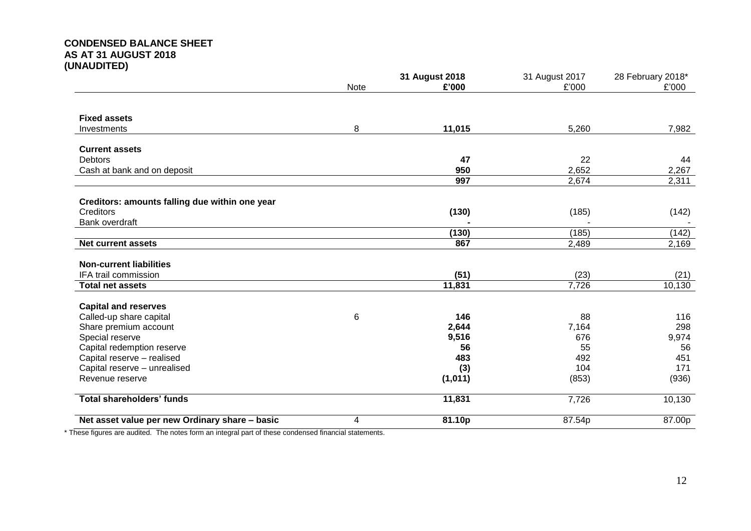# **CONDENSED BALANCE SHEET AS AT 31 AUGUST 2018 (UNAUDITED)**

|                                                |             | 31 August 2018 | 31 August 2017 | 28 February 2018* |  |
|------------------------------------------------|-------------|----------------|----------------|-------------------|--|
|                                                | <b>Note</b> | £'000          | £'000          | £'000             |  |
|                                                |             |                |                |                   |  |
| <b>Fixed assets</b>                            |             |                |                |                   |  |
| Investments                                    | 8           | 11,015         | 5,260          | 7,982             |  |
| <b>Current assets</b>                          |             |                |                |                   |  |
| <b>Debtors</b>                                 |             | 47             | 22             | 44                |  |
| Cash at bank and on deposit                    |             | 950            | 2,652          | 2,267             |  |
|                                                |             | 997            | 2,674          | 2,311             |  |
| Creditors: amounts falling due within one year |             |                |                |                   |  |
| Creditors                                      |             | (130)          | (185)          | (142)             |  |
| <b>Bank overdraft</b>                          |             |                |                |                   |  |
|                                                |             | (130)          | (185)          | (142)             |  |
| <b>Net current assets</b>                      |             | 867            | 2,489          | 2,169             |  |
| <b>Non-current liabilities</b>                 |             |                |                |                   |  |
| IFA trail commission                           |             | (51)           | (23)           | (21)              |  |
| <b>Total net assets</b>                        |             | 11,831         | 7,726          | 10,130            |  |
| <b>Capital and reserves</b>                    |             |                |                |                   |  |
| Called-up share capital                        | 6           | 146            | 88             | 116               |  |
| Share premium account                          |             | 2,644          | 7,164          | 298               |  |
| Special reserve                                |             | 9,516          | 676            | 9,974             |  |
| Capital redemption reserve                     |             | 56             | 55             | 56                |  |
| Capital reserve - realised                     |             | 483            | 492            | 451               |  |
| Capital reserve - unrealised                   |             | (3)            | 104            | 171               |  |
| Revenue reserve                                |             | (1,011)        | (853)          | (936)             |  |
| <b>Total shareholders' funds</b>               |             | 11,831         | 7,726          | 10,130            |  |
| Net asset value per new Ordinary share - basic | 4           | 81.10p         | 87.54p         | 87.00p            |  |

\* These figures are audited. The notes form an integral part of these condensed financial statements.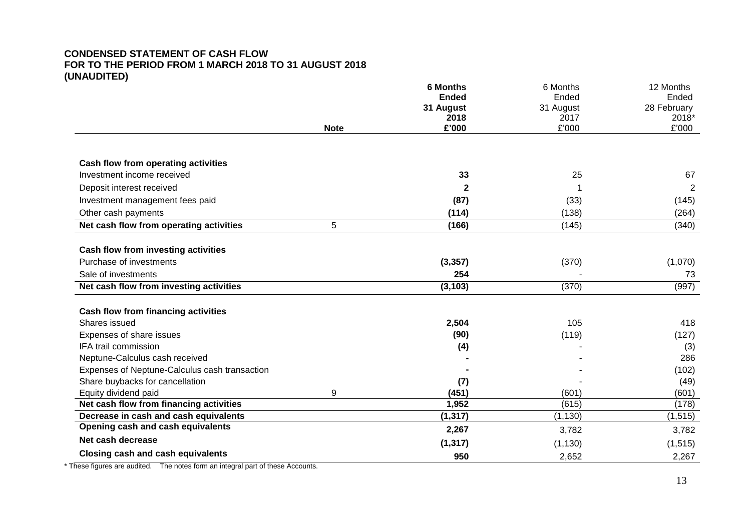# **CONDENSED STATEMENT OF CASH FLOW FOR TO THE PERIOD FROM 1 MARCH 2018 TO 31 AUGUST 2018 (UNAUDITED)**

|                                               |             | <b>6 Months</b>   | 6 Months          | 12 Months            |
|-----------------------------------------------|-------------|-------------------|-------------------|----------------------|
|                                               |             | <b>Ended</b>      | Ended             | Ended                |
|                                               |             | 31 August<br>2018 | 31 August<br>2017 | 28 February<br>2018* |
|                                               | <b>Note</b> | £'000             | £'000             | £'000                |
|                                               |             |                   |                   |                      |
| Cash flow from operating activities           |             |                   |                   |                      |
| Investment income received                    |             | 33                | 25                | 67                   |
| Deposit interest received                     |             | $\mathbf{2}$      |                   | $\overline{2}$       |
| Investment management fees paid               |             | (87)              | (33)              | (145)                |
| Other cash payments                           |             | (114)             | (138)             | (264)                |
| Net cash flow from operating activities       | 5           | (166)             | (145)             | (340)                |
| <b>Cash flow from investing activities</b>    |             |                   |                   |                      |
| Purchase of investments                       |             | (3, 357)          | (370)             | (1,070)              |
| Sale of investments                           |             | 254               |                   | 73                   |
| Net cash flow from investing activities       |             | (3, 103)          | (370)             | (997)                |
| <b>Cash flow from financing activities</b>    |             |                   |                   |                      |
| Shares issued                                 |             | 2,504             | 105               | 418                  |
| Expenses of share issues                      |             | (90)              | (119)             | (127)                |
| IFA trail commission                          |             | (4)               |                   | (3)                  |
| Neptune-Calculus cash received                |             |                   |                   | 286                  |
| Expenses of Neptune-Calculus cash transaction |             |                   |                   | (102)                |
| Share buybacks for cancellation               |             | (7)               |                   | (49)                 |
| Equity dividend paid                          | 9           | (451)             | (601)             | (601)                |
| Net cash flow from financing activities       |             | 1,952             | (615)             | (178)                |
| Decrease in cash and cash equivalents         |             | (1, 317)          | (1, 130)          | (1, 515)             |
| Opening cash and cash equivalents             |             | 2,267             | 3,782             | 3,782                |
| Net cash decrease                             |             | (1, 317)          | (1, 130)          | (1, 515)             |
| <b>Closing cash and cash equivalents</b>      |             | 950               | 2,652             | 2,267                |

\* These figures are audited. The notes form an integral part of these Accounts.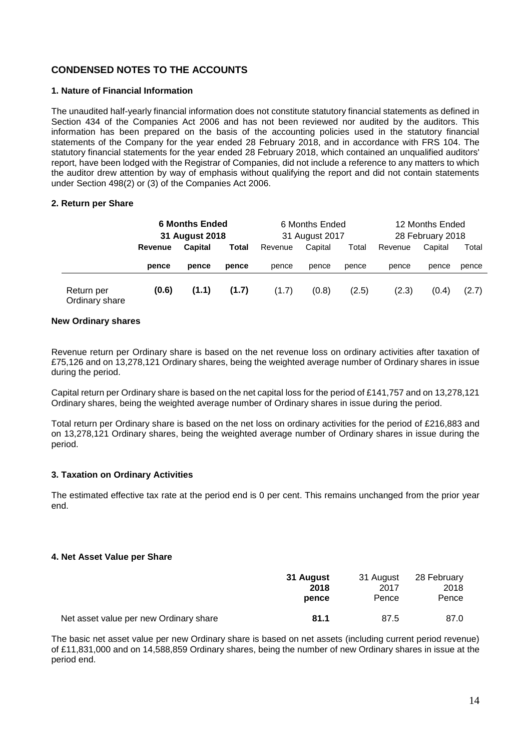# **CONDENSED NOTES TO THE ACCOUNTS**

# **1. Nature of Financial Information**

The unaudited half-yearly financial information does not constitute statutory financial statements as defined in Section 434 of the Companies Act 2006 and has not been reviewed nor audited by the auditors. This information has been prepared on the basis of the accounting policies used in the statutory financial statements of the Company for the year ended 28 February 2018, and in accordance with FRS 104. The statutory financial statements for the year ended 28 February 2018, which contained an unqualified auditors' report, have been lodged with the Registrar of Companies, did not include a reference to any matters to which the auditor drew attention by way of emphasis without qualifying the report and did not contain statements under Section 498(2) or (3) of the Companies Act 2006.

## **2. Return per Share**

|                              | <b>6 Months Ended</b><br>31 August 2018 |                |       | 6 Months Ended<br>31 August 2017 |         |       | 12 Months Ended<br>28 February 2018 |         |       |
|------------------------------|-----------------------------------------|----------------|-------|----------------------------------|---------|-------|-------------------------------------|---------|-------|
|                              | Revenue                                 | <b>Capital</b> | Total | Revenue                          | Capital | Total | Revenue                             | Capital | Total |
|                              | pence                                   | pence          | pence | pence                            | pence   | pence | pence                               | pence   | pence |
| Return per<br>Ordinary share | (0.6)                                   | (1.1)          | (1.7) | (1.7)                            | (0.8)   | (2.5) | (2.3)                               | (0.4)   | (2.7) |

#### **New Ordinary shares**

Revenue return per Ordinary share is based on the net revenue loss on ordinary activities after taxation of £75,126 and on 13,278,121 Ordinary shares, being the weighted average number of Ordinary shares in issue during the period.

Capital return per Ordinary share is based on the net capital loss for the period of £141,757 and on 13,278,121 Ordinary shares, being the weighted average number of Ordinary shares in issue during the period.

Total return per Ordinary share is based on the net loss on ordinary activities for the period of £216,883 and on 13,278,121 Ordinary shares, being the weighted average number of Ordinary shares in issue during the period.

# **3. Taxation on Ordinary Activities**

The estimated effective tax rate at the period end is 0 per cent. This remains unchanged from the prior year end.

#### **4. Net Asset Value per Share**

|                                        | 31 August | 31 August | 28 February |
|----------------------------------------|-----------|-----------|-------------|
|                                        | 2018      | 2017      | 2018        |
|                                        | pence     | Pence     | Pence       |
| Net asset value per new Ordinary share | 81.1      | 87.5      | 87.0        |

The basic net asset value per new Ordinary share is based on net assets (including current period revenue) of £11,831,000 and on 14,588,859 Ordinary shares, being the number of new Ordinary shares in issue at the period end.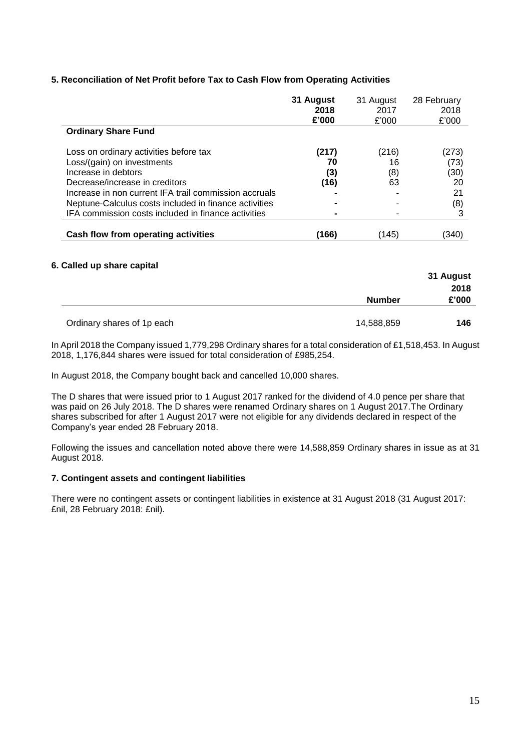# **5. Reconciliation of Net Profit before Tax to Cash Flow from Operating Activities**

|                                                       | 31 August<br>2018<br>£'000 | 31 August<br>2017<br>£'000 | 28 February<br>2018<br>£'000 |
|-------------------------------------------------------|----------------------------|----------------------------|------------------------------|
| <b>Ordinary Share Fund</b>                            |                            |                            |                              |
| Loss on ordinary activities before tax                | (217)                      | (216)                      | (273)                        |
| Loss/(gain) on investments                            | 70                         | 16                         | (73)                         |
| Increase in debtors                                   | (3)                        | (8)                        | (30)                         |
| Decrease/increase in creditors                        | (16)                       | 63                         | 20                           |
| Increase in non current IFA trail commission accruals |                            |                            | 21                           |
| Neptune-Calculus costs included in finance activities |                            |                            | (8)                          |
| IFA commission costs included in finance activities   | -                          |                            |                              |
| Cash flow from operating activities                   | (166)                      | (145)                      | (340                         |

#### **6. Called up share capital**

|                            |               | 31 August |
|----------------------------|---------------|-----------|
|                            |               | 2018      |
|                            | <b>Number</b> | £'000     |
|                            |               |           |
| Ordinary shares of 1p each | 14,588,859    | 146       |

In April 2018 the Company issued 1,779,298 Ordinary shares for a total consideration of £1,518,453. In August 2018, 1,176,844 shares were issued for total consideration of £985,254.

In August 2018, the Company bought back and cancelled 10,000 shares.

The D shares that were issued prior to 1 August 2017 ranked for the dividend of 4.0 pence per share that was paid on 26 July 2018. The D shares were renamed Ordinary shares on 1 August 2017.The Ordinary shares subscribed for after 1 August 2017 were not eligible for any dividends declared in respect of the Company's year ended 28 February 2018.

Following the issues and cancellation noted above there were 14,588,859 Ordinary shares in issue as at 31 August 2018.

#### **7. Contingent assets and contingent liabilities**

There were no contingent assets or contingent liabilities in existence at 31 August 2018 (31 August 2017: £nil, 28 February 2018: £nil).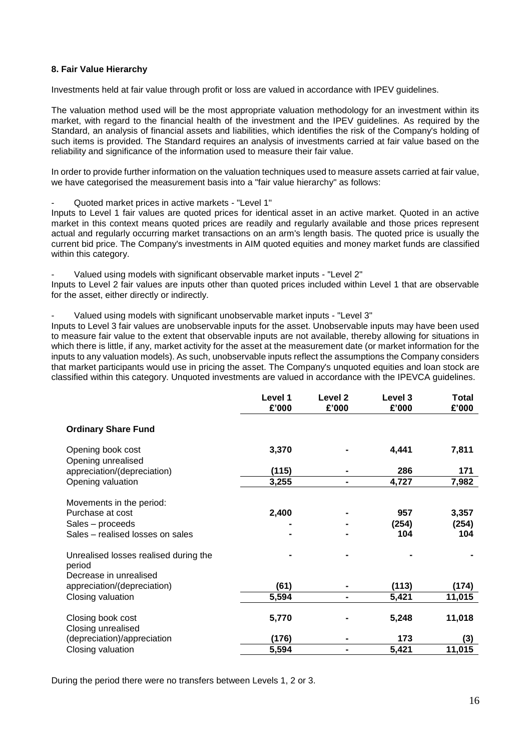## **8. Fair Value Hierarchy**

Investments held at fair value through profit or loss are valued in accordance with IPEV guidelines.

The valuation method used will be the most appropriate valuation methodology for an investment within its market, with regard to the financial health of the investment and the IPEV guidelines. As required by the Standard, an analysis of financial assets and liabilities, which identifies the risk of the Company's holding of such items is provided. The Standard requires an analysis of investments carried at fair value based on the reliability and significance of the information used to measure their fair value.

In order to provide further information on the valuation techniques used to measure assets carried at fair value, we have categorised the measurement basis into a "fair value hierarchy" as follows:

- Quoted market prices in active markets - "Level 1"

Inputs to Level 1 fair values are quoted prices for identical asset in an active market. Quoted in an active market in this context means quoted prices are readily and regularly available and those prices represent actual and regularly occurring market transactions on an arm's length basis. The quoted price is usually the current bid price. The Company's investments in AIM quoted equities and money market funds are classified within this category.

Valued using models with significant observable market inputs - "Level 2" Inputs to Level 2 fair values are inputs other than quoted prices included within Level 1 that are observable for the asset, either directly or indirectly.

Valued using models with significant unobservable market inputs - "Level 3"

Inputs to Level 3 fair values are unobservable inputs for the asset. Unobservable inputs may have been used to measure fair value to the extent that observable inputs are not available, thereby allowing for situations in which there is little, if any, market activity for the asset at the measurement date (or market information for the inputs to any valuation models). As such, unobservable inputs reflect the assumptions the Company considers that market participants would use in pricing the asset. The Company's unquoted equities and loan stock are classified within this category. Unquoted investments are valued in accordance with the IPEVCA guidelines.

|                                                                                                      | Level 1<br>£'000 | Level <sub>2</sub><br>£'000 | Level 3<br>£'000    | <b>Total</b><br>£'000 |
|------------------------------------------------------------------------------------------------------|------------------|-----------------------------|---------------------|-----------------------|
| <b>Ordinary Share Fund</b>                                                                           |                  |                             |                     |                       |
| Opening book cost<br>Opening unrealised                                                              | 3,370            |                             | 4,441               | 7,811                 |
| appreciation/(depreciation)                                                                          | (115)            |                             | 286                 | 171                   |
| Opening valuation                                                                                    | 3,255            | -                           | 4,727               | 7,982                 |
| Movements in the period:<br>Purchase at cost<br>Sales - proceeds<br>Sales - realised losses on sales | 2,400            |                             | 957<br>(254)<br>104 | 3,357<br>(254)<br>104 |
| Unrealised losses realised during the<br>period<br>Decrease in unrealised                            |                  |                             |                     |                       |
| appreciation/(depreciation)                                                                          | (61)             |                             | (113)               | (174)                 |
| Closing valuation                                                                                    | 5,594            | $\blacksquare$              | 5,421               | 11,015                |
| Closing book cost<br>Closing unrealised                                                              | 5,770            |                             | 5,248               | 11,018                |
| (depreciation)/appreciation                                                                          | (176)            |                             | 173                 | (3)                   |
| Closing valuation                                                                                    | 5,594            | -                           | 5,421               | 11,015                |

During the period there were no transfers between Levels 1, 2 or 3.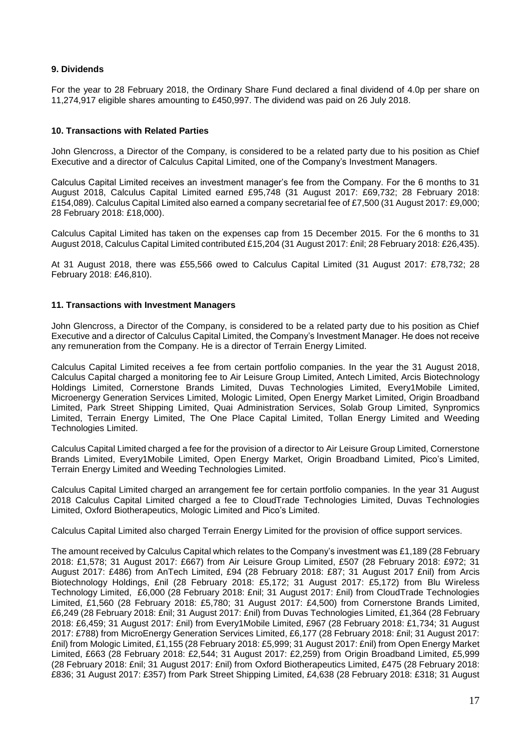# **9. Dividends**

For the year to 28 February 2018, the Ordinary Share Fund declared a final dividend of 4.0p per share on 11,274,917 eligible shares amounting to £450,997. The dividend was paid on 26 July 2018.

## **10. Transactions with Related Parties**

John Glencross, a Director of the Company, is considered to be a related party due to his position as Chief Executive and a director of Calculus Capital Limited, one of the Company's Investment Managers.

Calculus Capital Limited receives an investment manager's fee from the Company. For the 6 months to 31 August 2018, Calculus Capital Limited earned £95,748 (31 August 2017: £69,732; 28 February 2018: £154,089). Calculus Capital Limited also earned a company secretarial fee of £7,500 (31 August 2017: £9,000; 28 February 2018: £18,000).

Calculus Capital Limited has taken on the expenses cap from 15 December 2015. For the 6 months to 31 August 2018, Calculus Capital Limited contributed £15,204 (31 August 2017: £nil; 28 February 2018: £26,435).

At 31 August 2018, there was £55,566 owed to Calculus Capital Limited (31 August 2017: £78,732; 28 February 2018: £46,810).

#### **11. Transactions with Investment Managers**

John Glencross, a Director of the Company, is considered to be a related party due to his position as Chief Executive and a director of Calculus Capital Limited, the Company's Investment Manager. He does not receive any remuneration from the Company. He is a director of Terrain Energy Limited.

Calculus Capital Limited receives a fee from certain portfolio companies. In the year the 31 August 2018, Calculus Capital charged a monitoring fee to Air Leisure Group Limited, Antech Limited, Arcis Biotechnology Holdings Limited, Cornerstone Brands Limited, Duvas Technologies Limited, Every1Mobile Limited, Microenergy Generation Services Limited, Mologic Limited, Open Energy Market Limited, Origin Broadband Limited, Park Street Shipping Limited, Quai Administration Services, Solab Group Limited, Synpromics Limited, Terrain Energy Limited, The One Place Capital Limited, Tollan Energy Limited and Weeding Technologies Limited.

Calculus Capital Limited charged a fee for the provision of a director to Air Leisure Group Limited, Cornerstone Brands Limited, Every1Mobile Limited, Open Energy Market, Origin Broadband Limited, Pico's Limited, Terrain Energy Limited and Weeding Technologies Limited.

Calculus Capital Limited charged an arrangement fee for certain portfolio companies. In the year 31 August 2018 Calculus Capital Limited charged a fee to CloudTrade Technologies Limited, Duvas Technologies Limited, Oxford Biotherapeutics, Mologic Limited and Pico's Limited.

Calculus Capital Limited also charged Terrain Energy Limited for the provision of office support services.

The amount received by Calculus Capital which relates to the Company's investment was £1,189 (28 February 2018: £1,578; 31 August 2017: £667) from Air Leisure Group Limited, £507 (28 February 2018: £972; 31 August 2017: £486) from AnTech Limited, £94 (28 February 2018: £87; 31 August 2017 £nil) from Arcis Biotechnology Holdings, £nil (28 February 2018: £5,172; 31 August 2017: £5,172) from Blu Wireless Technology Limited, £6,000 (28 February 2018: £nil; 31 August 2017: £nil) from CloudTrade Technologies Limited, £1,560 (28 February 2018: £5,780; 31 August 2017: £4,500) from Cornerstone Brands Limited, £6,249 (28 February 2018: £nil; 31 August 2017: £nil) from Duvas Technologies Limited, £1,364 (28 February 2018: £6,459; 31 August 2017: £nil) from Every1Mobile Limited, £967 (28 February 2018: £1,734; 31 August 2017: £788) from MicroEnergy Generation Services Limited, £6,177 (28 February 2018: £nil; 31 August 2017: £nil) from Mologic Limited, £1,155 (28 February 2018: £5,999; 31 August 2017: £nil) from Open Energy Market Limited, £663 (28 February 2018: £2,544; 31 August 2017: £2,259) from Origin Broadband Limited, £5,999 (28 February 2018: £nil; 31 August 2017: £nil) from Oxford Biotherapeutics Limited, £475 (28 February 2018: £836; 31 August 2017: £357) from Park Street Shipping Limited, £4,638 (28 February 2018: £318; 31 August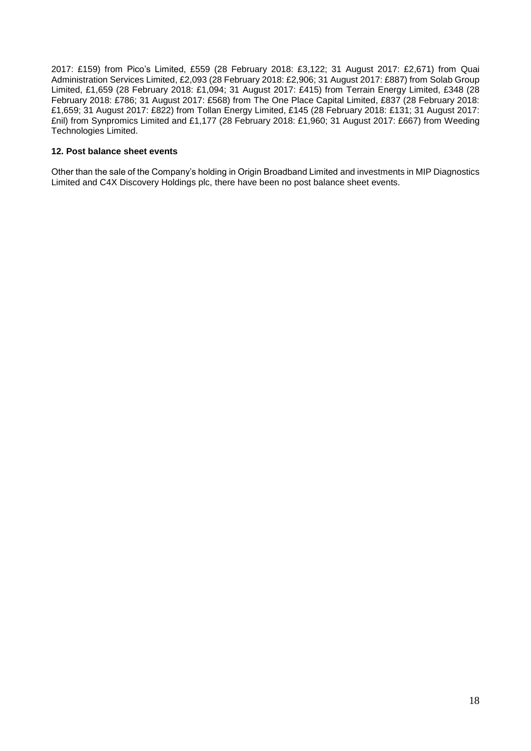2017: £159) from Pico's Limited, £559 (28 February 2018: £3,122; 31 August 2017: £2,671) from Quai Administration Services Limited, £2,093 (28 February 2018: £2,906; 31 August 2017: £887) from Solab Group Limited, £1,659 (28 February 2018: £1,094; 31 August 2017: £415) from Terrain Energy Limited, £348 (28 February 2018: £786; 31 August 2017: £568) from The One Place Capital Limited, £837 (28 February 2018: £1,659; 31 August 2017: £822) from Tollan Energy Limited, £145 (28 February 2018: £131; 31 August 2017: £nil) from Synpromics Limited and £1,177 (28 February 2018: £1,960; 31 August 2017: £667) from Weeding Technologies Limited.

# **12. Post balance sheet events**

Other than the sale of the Company's holding in Origin Broadband Limited and investments in MIP Diagnostics Limited and C4X Discovery Holdings plc, there have been no post balance sheet events.